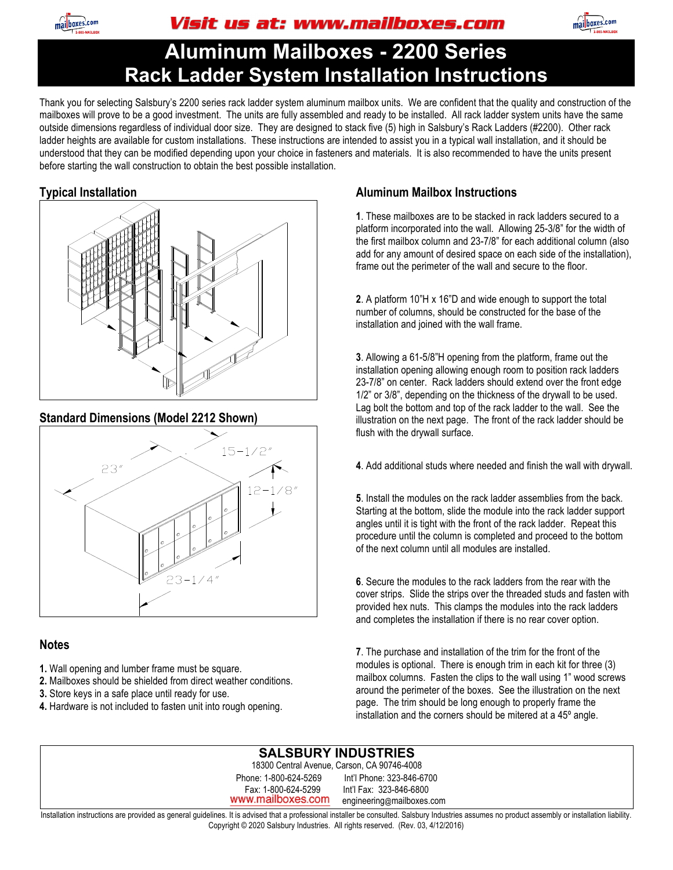

Visit us at: www.mailboxes.com



# **Aluminum Mailboxes - 2200 Series Rack Ladder System Installation Instructions**

Thank you for selecting Salsbury's 2200 series rack ladder system aluminum mailbox units. We are confident that the quality and construction of the mailboxes will prove to be a good investment. The units are fully assembled and ready to be installed. All rack ladder system units have the same outside dimensions regardless of individual door size. They are designed to stack five (5) high in Salsbury's Rack Ladders (#2200). Other rack ladder heights are available for custom installations. These instructions are intended to assist you in a typical wall installation, and it should be understood that they can be modified depending upon your choice in fasteners and materials. It is also recommended to have the units present before starting the wall construction to obtain the best possible installation.

# **Typical Installation**



### **Standard Dimensions (Model 2212 Shown)**



### **Notes**

- **1.** Wall opening and lumber frame must be square.
- **2.** Mailboxes should be shielded from direct weather conditions.
- **3.** Store keys in a safe place until ready for use.
- **4.** Hardware is not included to fasten unit into rough opening.

# **Aluminum Mailbox Instructions**

**1**. These mailboxes are to be stacked in rack ladders secured to a platform incorporated into the wall. Allowing 25-3/8" for the width of the first mailbox column and 23-7/8" for each additional column (also add for any amount of desired space on each side of the installation), frame out the perimeter of the wall and secure to the floor.

**2**. A platform 10"H x 16"D and wide enough to support the total number of columns, should be constructed for the base of the installation and joined with the wall frame.

**3**. Allowing a 61-5/8"H opening from the platform, frame out the installation opening allowing enough room to position rack ladders 23-7/8" on center. Rack ladders should extend over the front edge 1/2" or 3/8", depending on the thickness of the drywall to be used. Lag bolt the bottom and top of the rack ladder to the wall. See the illustration on the next page. The front of the rack ladder should be flush with the drywall surface.

**4**. Add additional studs where needed and finish the wall with drywall.

**5**. Install the modules on the rack ladder assemblies from the back. Starting at the bottom, slide the module into the rack ladder support angles until it is tight with the front of the rack ladder. Repeat this procedure until the column is completed and proceed to the bottom of the next column until all modules are installed.

**6**. Secure the modules to the rack ladders from the rear with the cover strips. Slide the strips over the threaded studs and fasten with provided hex nuts. This clamps the modules into the rack ladders and completes the installation if there is no rear cover option.

**7**. The purchase and installation of the trim for the front of the modules is optional. There is enough trim in each kit for three (3) mailbox columns. Fasten the clips to the wall using 1" wood screws around the perimeter of the boxes. See the illustration on the next page. The trim should be long enough to properly frame the installation and the corners should be mitered at a 45º angle.

#### **SALSBURY INDUSTRIES**  18300 Central Avenue, Carson, CA 90746-4008 Phone: 1-800-624-5269 Int'l Phone: 323-846-6700 Fax: 1-800-624-5299 Int'l Fax: 323-846-6800 www.mailboxes.com engineering@mailboxes.com

Installation instructions are provided as general guidelines. It is advised that a professional installer be consulted. Salsbury Industries assumes no product assembly or installation liability. Copyright © 2020 Salsbury Industries. All rights reserved. (Rev. 03, 4/12/2016)